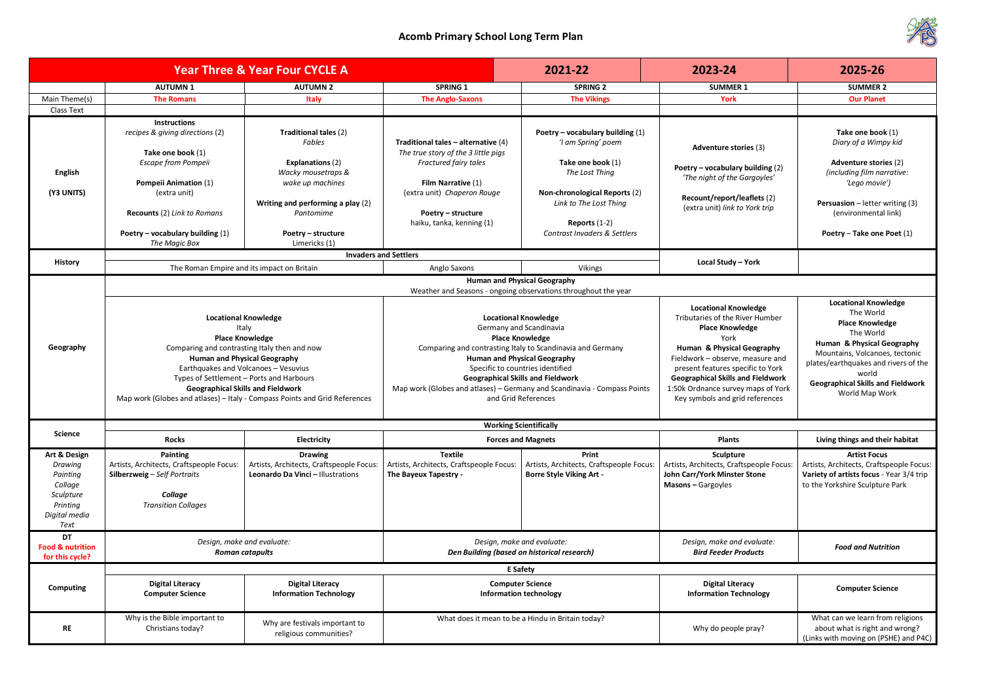|                                                                                                  |                                                                                                                                                                                                                                                                                                                             | <b>Year Three &amp; Year Four CYCLE A</b>                                                                                                                                                     |                                                                                                                                                                                                                                                                                                                                                                          | 2021-22                                                                                                                                                                                                       | 2023-24                                                                                                                                                                                                                                                                                                                      | 2025-26                                                                                                                                                                                                                                    |  |
|--------------------------------------------------------------------------------------------------|-----------------------------------------------------------------------------------------------------------------------------------------------------------------------------------------------------------------------------------------------------------------------------------------------------------------------------|-----------------------------------------------------------------------------------------------------------------------------------------------------------------------------------------------|--------------------------------------------------------------------------------------------------------------------------------------------------------------------------------------------------------------------------------------------------------------------------------------------------------------------------------------------------------------------------|---------------------------------------------------------------------------------------------------------------------------------------------------------------------------------------------------------------|------------------------------------------------------------------------------------------------------------------------------------------------------------------------------------------------------------------------------------------------------------------------------------------------------------------------------|--------------------------------------------------------------------------------------------------------------------------------------------------------------------------------------------------------------------------------------------|--|
|                                                                                                  | <b>AUTUMN1</b>                                                                                                                                                                                                                                                                                                              | <b>AUTUMN 2</b>                                                                                                                                                                               | <b>SPRING 1</b>                                                                                                                                                                                                                                                                                                                                                          | <b>SPRING 2</b>                                                                                                                                                                                               | <b>SUMMER 1</b>                                                                                                                                                                                                                                                                                                              | <b>SUMMER 2</b>                                                                                                                                                                                                                            |  |
| Main Theme(s)                                                                                    | <b>The Romans</b>                                                                                                                                                                                                                                                                                                           | <b>Italy</b>                                                                                                                                                                                  | <b>The Anglo-Saxons</b>                                                                                                                                                                                                                                                                                                                                                  | <b>The Vikings</b>                                                                                                                                                                                            | <b>York</b>                                                                                                                                                                                                                                                                                                                  | <b>Our Planet</b>                                                                                                                                                                                                                          |  |
| Class Text                                                                                       |                                                                                                                                                                                                                                                                                                                             |                                                                                                                                                                                               |                                                                                                                                                                                                                                                                                                                                                                          |                                                                                                                                                                                                               |                                                                                                                                                                                                                                                                                                                              |                                                                                                                                                                                                                                            |  |
| <b>English</b><br>(Y3 UNITS)                                                                     | Instructions<br>recipes & giving directions (2)<br>Take one book (1)<br>Escape from Pompeii<br><b>Pompeii Animation (1)</b><br>(extra unit)<br><b>Recounts (2) Link to Romans</b><br>Poetry – vocabulary building $(1)$<br>The Magic Box                                                                                    | Traditional tales (2)<br>Fables<br><b>Explanations (2)</b><br>Wacky mousetraps &<br>wake up machines<br>Writing and performing a play (2)<br>Pantomime<br>Poetry - structure<br>Limericks (1) | Traditional tales - alternative $(4)$<br>The true story of the 3 little pigs<br>Fractured fairy tales<br>Film Narrative (1)<br>(extra unit) Chaperon Rouge<br>Poetry - structure<br>haiku, tanka, kenning (1)                                                                                                                                                            | Poetry – vocabulary building $(1)$<br>'I am Spring' poem<br>Take one book (1)<br>The Lost Thing<br>Non-chronological Reports (2)<br>Link to The Lost Thing<br>Reports $(1-2)$<br>Contrast Invaders & Settlers | <b>Adventure stories (3)</b><br>Poetry - vocabulary building (2)<br>'The night of the Gargoyles'<br>Recount/report/leaflets (2)<br>(extra unit) link to York trip                                                                                                                                                            | Take one book (1)<br>Diary of a Wimpy kid<br><b>Adventure stories (2)</b><br>(including film narrative:<br>'Lego movie')<br><b>Persuasion</b> $-$ letter writing (3)<br>(environmental link)<br>Poetry - Take one Poet (1)                 |  |
|                                                                                                  |                                                                                                                                                                                                                                                                                                                             | <b>Invaders and Settlers</b>                                                                                                                                                                  |                                                                                                                                                                                                                                                                                                                                                                          |                                                                                                                                                                                                               |                                                                                                                                                                                                                                                                                                                              |                                                                                                                                                                                                                                            |  |
| History                                                                                          | The Roman Empire and its impact on Britain                                                                                                                                                                                                                                                                                  |                                                                                                                                                                                               | Anglo Saxons                                                                                                                                                                                                                                                                                                                                                             | Vikings                                                                                                                                                                                                       | Local Study - York                                                                                                                                                                                                                                                                                                           |                                                                                                                                                                                                                                            |  |
|                                                                                                  |                                                                                                                                                                                                                                                                                                                             |                                                                                                                                                                                               |                                                                                                                                                                                                                                                                                                                                                                          | <b>Human and Physical Geography</b><br>Weather and Seasons - ongoing observations throughout the year                                                                                                         |                                                                                                                                                                                                                                                                                                                              | <b>Locational Knowledge</b>                                                                                                                                                                                                                |  |
| Geography                                                                                        | <b>Locational Knowledge</b><br>Italy<br><b>Place Knowledge</b><br>Comparing and contrasting Italy then and now<br><b>Human and Physical Geography</b><br>Types of Settlement - Ports and Harbours<br><b>Geographical Skills and Fieldwork</b><br>Map work (Globes and atlases) - Italy - Compass Points and Grid References | Earthquakes and Volcanoes - Vesuvius                                                                                                                                                          | <b>Locational Knowledge</b><br>Germany and Scandinavia<br><b>Place Knowledge</b><br>Comparing and contrasting Italy to Scandinavia and Germany<br><b>Human and Physical Geography</b><br>Specific to countries identified<br><b>Geographical Skills and Fieldwork</b><br>Map work (Globes and atlases) - Germany and Scandinavia - Compass Points<br>and Grid References |                                                                                                                                                                                                               | <b>Locational Knowledge</b><br>Tributaries of the River Humber<br><b>Place Knowledge</b><br>York<br>Human & Physical Geography<br>Fieldwork - observe, measure and<br>present features specific to York<br><b>Geographical Skills and Fieldwork</b><br>1:50k Ordnance survey maps of York<br>Key symbols and grid references | The World<br><b>Place Knowledge</b><br>The World<br><b>Human &amp; Physical Geography</b><br>Mountains, Volcanoes, tectonic<br>plates/earthquakes and rivers of the<br>world<br><b>Geographical Skills and Fieldwork</b><br>World Map Work |  |
|                                                                                                  |                                                                                                                                                                                                                                                                                                                             |                                                                                                                                                                                               |                                                                                                                                                                                                                                                                                                                                                                          | <b>Working Scientifically</b>                                                                                                                                                                                 |                                                                                                                                                                                                                                                                                                                              |                                                                                                                                                                                                                                            |  |
| <b>Science</b>                                                                                   | <b>Rocks</b>                                                                                                                                                                                                                                                                                                                | Electricity                                                                                                                                                                                   |                                                                                                                                                                                                                                                                                                                                                                          | <b>Forces and Magnets</b>                                                                                                                                                                                     | <b>Plants</b>                                                                                                                                                                                                                                                                                                                | Living things and their habitat                                                                                                                                                                                                            |  |
| Art & Design<br>Drawing<br>Painting<br>Collage<br>Sculpture<br>Printing<br>Digital media<br>Text | Painting<br>Artists, Architects, Craftspeople Focus:<br><b>Silberzweig</b> - Self Portraits<br>Collage<br><b>Transition Collages</b>                                                                                                                                                                                        | <b>Drawing</b><br>Artists, Architects, Craftspeople Focus:<br>Leonardo Da Vinci - Illustrations                                                                                               | <b>Textile</b><br>Artists, Architects, Craftspeople Focus:<br>The Bayeux Tapestry -                                                                                                                                                                                                                                                                                      | Print<br>Artists, Architects, Craftspeople Focus:<br><b>Borre Style Viking Art -</b>                                                                                                                          | <b>Sculpture</b><br>Artists, Architects, Craftspeople Focus:<br>John Carr/York Minster Stone<br><b>Masons</b> - Gargoyles                                                                                                                                                                                                    | <b>Artist Focus</b><br>Artists, Architects, Craftspeople Focus:<br>Variety of artists focus - Year 3/4 trip<br>to the Yorkshire Sculpture Park                                                                                             |  |
| <b>DT</b><br><b>Food &amp; nutrition</b><br>for this cycle?                                      | Design, make and evaluate:<br><b>Roman catapults</b>                                                                                                                                                                                                                                                                        |                                                                                                                                                                                               | Design, make and evaluate:<br>Den Building (based on historical research)                                                                                                                                                                                                                                                                                                |                                                                                                                                                                                                               | Design, make and evaluate:<br><b>Bird Feeder Products</b>                                                                                                                                                                                                                                                                    | <b>Food and Nutrition</b>                                                                                                                                                                                                                  |  |
| <b>Computing</b>                                                                                 | <b>Digital Literacy</b><br><b>Computer Science</b>                                                                                                                                                                                                                                                                          | <b>Digital Literacy</b><br><b>Information Technology</b>                                                                                                                                      | <b>E</b> Safety<br><b>Computer Science</b><br><b>Information technology</b>                                                                                                                                                                                                                                                                                              |                                                                                                                                                                                                               | <b>Digital Literacy</b><br><b>Information Technology</b>                                                                                                                                                                                                                                                                     | <b>Computer Science</b>                                                                                                                                                                                                                    |  |
| <b>RE</b>                                                                                        | Why is the Bible important to<br>Christians today?                                                                                                                                                                                                                                                                          | Why are festivals important to<br>religious communities?                                                                                                                                      |                                                                                                                                                                                                                                                                                                                                                                          | What does it mean to be a Hindu in Britain today?                                                                                                                                                             | Why do people pray?                                                                                                                                                                                                                                                                                                          | What can we learn from religions<br>about what is right and wrong?<br>(Links with moving on (PSHE) and P4C)                                                                                                                                |  |

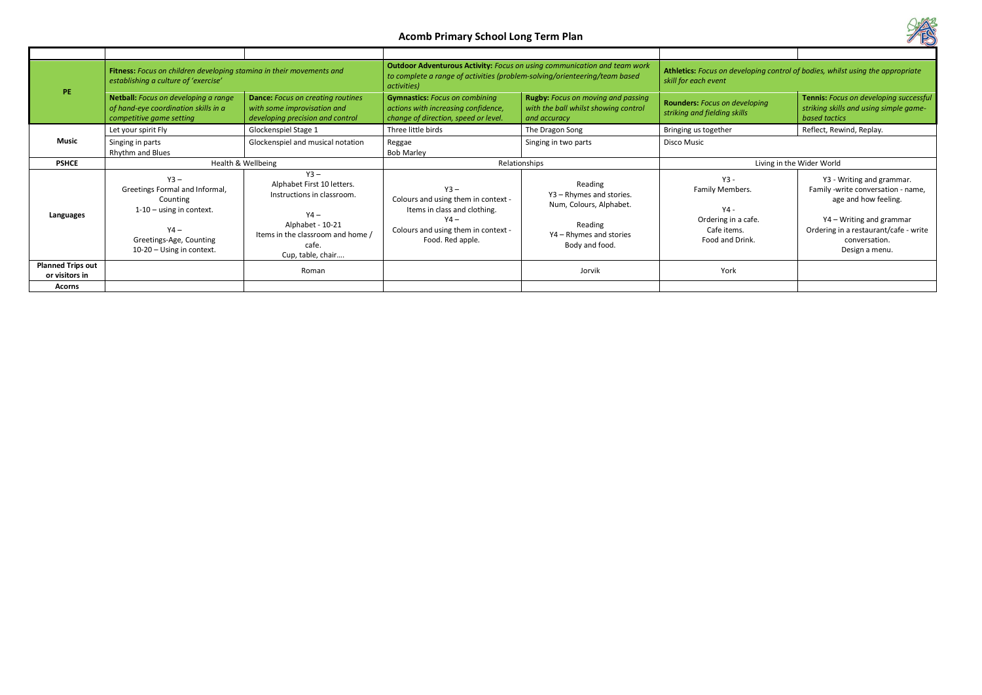|                                            | Fitness: Focus on children developing stamina in their movements and<br>establishing a culture of 'exercise'                                           |                                                                                                                                                                     | <b>Outdoor Adventurous Activity: Focus on using communication and team work</b><br>to complete a range of activities (problem-solving/orienteering/team based<br>activities) |                                                                                                                        | Athletics: Focus on developing control of bodies, whilst using the appropriate<br>skill for each event |                                                                                                                                                                                                 |
|--------------------------------------------|--------------------------------------------------------------------------------------------------------------------------------------------------------|---------------------------------------------------------------------------------------------------------------------------------------------------------------------|------------------------------------------------------------------------------------------------------------------------------------------------------------------------------|------------------------------------------------------------------------------------------------------------------------|--------------------------------------------------------------------------------------------------------|-------------------------------------------------------------------------------------------------------------------------------------------------------------------------------------------------|
| PE.                                        | Netball: Focus on developing a range<br>of hand-eye coordination skills in a<br>competitive game setting                                               | <b>Dance:</b> Focus on creating routines<br>with some improvisation and<br>developing precision and control                                                         | <b>Gymnastics:</b> Focus on combining<br>actions with increasing confidence,<br>change of direction, speed or level.                                                         | <b>Rugby:</b> Focus on moving and passing<br>with the ball whilst showing control<br>and accuracy                      | <b>Rounders: Focus on developing</b><br>striking and fielding skills                                   | Tennis: Focus on developing successful<br>striking skills and using simple game-<br>based tactics                                                                                               |
|                                            | Let your spirit Fly                                                                                                                                    | Glockenspiel Stage 1                                                                                                                                                | Three little birds                                                                                                                                                           | The Dragon Song                                                                                                        | Bringing us together                                                                                   | Reflect, Rewind, Replay.                                                                                                                                                                        |
| Music                                      | Singing in parts<br>Rhythm and Blues                                                                                                                   | Glockenspiel and musical notation                                                                                                                                   | Reggae<br><b>Bob Marley</b>                                                                                                                                                  | Singing in two parts                                                                                                   | Disco Music                                                                                            |                                                                                                                                                                                                 |
| <b>PSHCE</b>                               |                                                                                                                                                        | Health & Wellbeing                                                                                                                                                  | Relationships                                                                                                                                                                |                                                                                                                        | Living in the Wider World                                                                              |                                                                                                                                                                                                 |
| Languages                                  | $Y3 -$<br>Greetings Formal and Informal,<br>Counting<br>$1-10$ – using in context.<br>$YA -$<br>Greetings-Age, Counting<br>$10-20$ – Using in context. | $Y3 -$<br>Alphabet First 10 letters.<br>Instructions in classroom.<br>$YA -$<br>Alphabet - 10-21<br>Items in the classroom and home /<br>cafe.<br>Cup, table, chair | $Y3 -$<br>Colours and using them in context -<br>Items in class and clothing.<br>$YA -$<br>Colours and using them in context -<br>Food. Red apple.                           | Reading<br>Y3 - Rhymes and stories.<br>Num, Colours, Alphabet.<br>Reading<br>Y4 - Rhymes and stories<br>Body and food. | $Y3 -$<br>Family Members.<br>$YA -$<br>Ordering in a cafe.<br>Cafe items.<br>Food and Drink.           | Y3 - Writing and grammar.<br>Family -write conversation - name,<br>age and how feeling.<br>Y4 - Writing and grammar<br>Ordering in a restaurant/cafe - write<br>conversation.<br>Design a menu. |
| <b>Planned Trips out</b><br>or visitors in |                                                                                                                                                        | Roman                                                                                                                                                               |                                                                                                                                                                              | Jorvik                                                                                                                 | York                                                                                                   |                                                                                                                                                                                                 |
| <b>Acorns</b>                              |                                                                                                                                                        |                                                                                                                                                                     |                                                                                                                                                                              |                                                                                                                        |                                                                                                        |                                                                                                                                                                                                 |

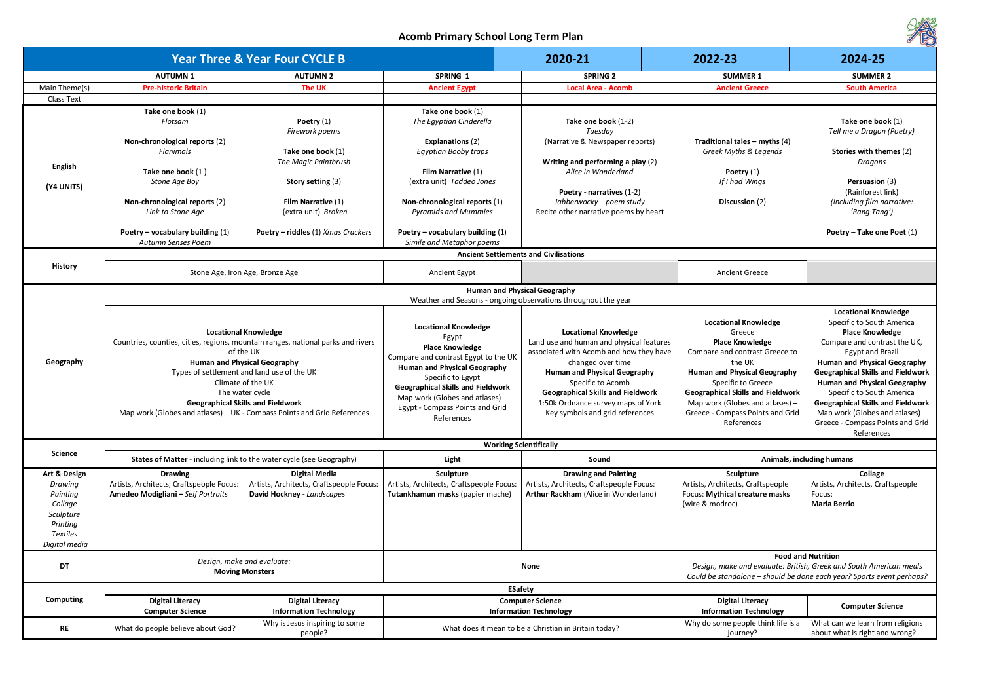| Í                                                                                                                                                                                                                                                                                                                                                                                                                                     |
|---------------------------------------------------------------------------------------------------------------------------------------------------------------------------------------------------------------------------------------------------------------------------------------------------------------------------------------------------------------------------------------------------------------------------------------|
| 2024-25                                                                                                                                                                                                                                                                                                                                                                                                                               |
| <b>SUMMER 2</b>                                                                                                                                                                                                                                                                                                                                                                                                                       |
| <b>South America</b>                                                                                                                                                                                                                                                                                                                                                                                                                  |
|                                                                                                                                                                                                                                                                                                                                                                                                                                       |
| Take one book (1)<br>Tell me a Dragon (Poetry)<br>Stories with themes (2)<br>Dragons<br>Persuasion (3)<br>(Rainforest link)<br>(including film narrative:<br>'Rang Tang')<br>Poetry - Take one Poet (1)                                                                                                                                                                                                                               |
|                                                                                                                                                                                                                                                                                                                                                                                                                                       |
|                                                                                                                                                                                                                                                                                                                                                                                                                                       |
|                                                                                                                                                                                                                                                                                                                                                                                                                                       |
| <b>Locational Knowledge</b><br>Specific to South America<br><b>Place Knowledge</b><br>Compare and contrast the UK,<br><b>Egypt and Brazil</b><br><b>Human and Physical Geography</b><br><b>Geographical Skills and Fieldwork</b><br><b>Human and Physical Geography</b><br>Specific to South America<br><b>Geographical Skills and Fieldwork</b><br>Map work (Globes and atlases) -<br>Greece - Compass Points and Grid<br>References |
|                                                                                                                                                                                                                                                                                                                                                                                                                                       |

|                                                                                                             |                                                                                                                                                   | <b>Year Three &amp; Year Four CYCLE B</b>                                                                                                                                                                                                                                                                                                                                        |                                                                                                                                                                                                                                                                                                      | 2020-21                                                                                                                                                                                                                                                                                                                  | 2022-23                                                                                                                                                                                                                                                                                                     | 2024-25                                                                                                                                                                                                                                                                                                                                                  |  |
|-------------------------------------------------------------------------------------------------------------|---------------------------------------------------------------------------------------------------------------------------------------------------|----------------------------------------------------------------------------------------------------------------------------------------------------------------------------------------------------------------------------------------------------------------------------------------------------------------------------------------------------------------------------------|------------------------------------------------------------------------------------------------------------------------------------------------------------------------------------------------------------------------------------------------------------------------------------------------------|--------------------------------------------------------------------------------------------------------------------------------------------------------------------------------------------------------------------------------------------------------------------------------------------------------------------------|-------------------------------------------------------------------------------------------------------------------------------------------------------------------------------------------------------------------------------------------------------------------------------------------------------------|----------------------------------------------------------------------------------------------------------------------------------------------------------------------------------------------------------------------------------------------------------------------------------------------------------------------------------------------------------|--|
|                                                                                                             | <b>AUTUMN1</b>                                                                                                                                    | <b>AUTUMN 2</b>                                                                                                                                                                                                                                                                                                                                                                  | SPRING 1                                                                                                                                                                                                                                                                                             | <b>SPRING 2</b>                                                                                                                                                                                                                                                                                                          | <b>SUMMER 1</b>                                                                                                                                                                                                                                                                                             | <b>SUMMER 2</b>                                                                                                                                                                                                                                                                                                                                          |  |
| Main Theme(s)                                                                                               | <b>Pre-historic Britain</b>                                                                                                                       | <b>The UK</b>                                                                                                                                                                                                                                                                                                                                                                    | <b>Ancient Egypt</b>                                                                                                                                                                                                                                                                                 | <b>Local Area - Acomb</b>                                                                                                                                                                                                                                                                                                | <b>Ancient Greece</b>                                                                                                                                                                                                                                                                                       | <b>South America</b>                                                                                                                                                                                                                                                                                                                                     |  |
| <b>Class Text</b>                                                                                           |                                                                                                                                                   |                                                                                                                                                                                                                                                                                                                                                                                  |                                                                                                                                                                                                                                                                                                      |                                                                                                                                                                                                                                                                                                                          |                                                                                                                                                                                                                                                                                                             |                                                                                                                                                                                                                                                                                                                                                          |  |
| <b>English</b><br>(Y4 UNITS)                                                                                | Take one book (1)<br>Flotsam<br>Non-chronological reports (2)<br>Flanimals<br>Take one book (1)<br>Stone Age Boy<br>Non-chronological reports (2) | Poetry $(1)$<br>Firework poems<br>Take one book (1)<br>The Magic Paintbrush<br>Story setting (3)<br>Film Narrative (1)                                                                                                                                                                                                                                                           | Take one book (1)<br>The Egyptian Cinderella<br><b>Explanations (2)</b><br>Egyptian Booby traps<br>Film Narrative (1)<br>(extra unit) Taddeo Jones<br>Non-chronological reports (1)                                                                                                                  | Take one book (1-2)<br>Tuesday<br>(Narrative & Newspaper reports)<br>Writing and performing a play (2)<br>Alice in Wonderland<br>Poetry - narratives (1-2)<br>Jabberwocky - poem study                                                                                                                                   | Traditional tales – myths $(4)$<br>Greek Myths & Legends<br>Poetry $(1)$<br>If I had Wings<br>Discussion (2)                                                                                                                                                                                                | Take one book (<br>Tell me a Dragon (Po<br><b>Stories with theme</b><br>Dragons<br>Persuasion (3)<br>(Rainforest link<br>(including film narro                                                                                                                                                                                                           |  |
|                                                                                                             | Link to Stone Age<br>Poetry – vocabulary building $(1)$<br>Autumn Senses Poem                                                                     | (extra unit) Broken<br>Poetry - riddles (1) Xmas Crackers                                                                                                                                                                                                                                                                                                                        | <b>Pyramids and Mummies</b><br>Poetry – vocabulary building $(1)$<br>Simile and Metaphor poems                                                                                                                                                                                                       | Recite other narrative poems by heart                                                                                                                                                                                                                                                                                    |                                                                                                                                                                                                                                                                                                             | 'Rang Tang')<br>Poetry - Take one Po                                                                                                                                                                                                                                                                                                                     |  |
|                                                                                                             |                                                                                                                                                   |                                                                                                                                                                                                                                                                                                                                                                                  |                                                                                                                                                                                                                                                                                                      | <b>Ancient Settlements and Civilisations</b>                                                                                                                                                                                                                                                                             |                                                                                                                                                                                                                                                                                                             |                                                                                                                                                                                                                                                                                                                                                          |  |
| <b>History</b>                                                                                              |                                                                                                                                                   | Stone Age, Iron Age, Bronze Age                                                                                                                                                                                                                                                                                                                                                  | Ancient Egypt                                                                                                                                                                                                                                                                                        |                                                                                                                                                                                                                                                                                                                          | <b>Ancient Greece</b>                                                                                                                                                                                                                                                                                       |                                                                                                                                                                                                                                                                                                                                                          |  |
|                                                                                                             | <b>Human and Physical Geography</b>                                                                                                               |                                                                                                                                                                                                                                                                                                                                                                                  |                                                                                                                                                                                                                                                                                                      |                                                                                                                                                                                                                                                                                                                          |                                                                                                                                                                                                                                                                                                             |                                                                                                                                                                                                                                                                                                                                                          |  |
|                                                                                                             |                                                                                                                                                   |                                                                                                                                                                                                                                                                                                                                                                                  |                                                                                                                                                                                                                                                                                                      | Weather and Seasons - ongoing observations throughout the year                                                                                                                                                                                                                                                           |                                                                                                                                                                                                                                                                                                             |                                                                                                                                                                                                                                                                                                                                                          |  |
| Geography                                                                                                   |                                                                                                                                                   | <b>Locational Knowledge</b><br>Countries, counties, cities, regions, mountain ranges, national parks and rivers<br>of the UK<br><b>Human and Physical Geography</b><br>Types of settlement and land use of the UK<br>Climate of the UK<br>The water cycle<br><b>Geographical Skills and Fieldwork</b><br>Map work (Globes and atlases) - UK - Compass Points and Grid References | <b>Locational Knowledge</b><br>Egypt<br><b>Place Knowledge</b><br>Compare and contrast Egypt to the UK<br><b>Human and Physical Geography</b><br>Specific to Egypt<br><b>Geographical Skills and Fieldwork</b><br>Map work (Globes and atlases) $-$<br>Egypt - Compass Points and Grid<br>References | <b>Locational Knowledge</b><br>Land use and human and physical features<br>associated with Acomb and how they have<br>changed over time<br><b>Human and Physical Geography</b><br>Specific to Acomb<br><b>Geographical Skills and Fieldwork</b><br>1:50k Ordnance survey maps of York<br>Key symbols and grid references | <b>Locational Knowledge</b><br>Greece<br><b>Place Knowledge</b><br>Compare and contrast Greece to<br>the UK<br><b>Human and Physical Geography</b><br>Specific to Greece<br><b>Geographical Skills and Fieldwork</b><br>Map work (Globes and atlases) $-$<br>Greece - Compass Points and Grid<br>References | <b>Locational Knowle</b><br>Specific to South Am<br><b>Place Knowledg</b><br>Compare and contrast<br><b>Egypt and Brazi</b><br><b>Human and Physical Ge</b><br><b>Geographical Skills and</b><br><b>Human and Physical Ge</b><br>Specific to South Am<br><b>Geographical Skills and</b><br>Map work (Globes and<br>Greece - Compass Points<br>References |  |
|                                                                                                             |                                                                                                                                                   |                                                                                                                                                                                                                                                                                                                                                                                  |                                                                                                                                                                                                                                                                                                      | <b>Working Scientifically</b>                                                                                                                                                                                                                                                                                            |                                                                                                                                                                                                                                                                                                             |                                                                                                                                                                                                                                                                                                                                                          |  |
| <b>Science</b>                                                                                              |                                                                                                                                                   | States of Matter - including link to the water cycle (see Geography)                                                                                                                                                                                                                                                                                                             | Light                                                                                                                                                                                                                                                                                                | Sound                                                                                                                                                                                                                                                                                                                    |                                                                                                                                                                                                                                                                                                             | Animals, including humans                                                                                                                                                                                                                                                                                                                                |  |
| Art & Design<br>Drawing<br>Painting<br>Collage<br>Sculpture<br>Printing<br><b>Textiles</b><br>Digital media | <b>Drawing</b><br>Artists, Architects, Craftspeople Focus:<br>Amedeo Modigliani - Self Portraits                                                  | Digital Media<br>Artists, Architects, Craftspeople Focus:<br>David Hockney - Landscapes                                                                                                                                                                                                                                                                                          | Sculpture<br>Artists, Architects, Craftspeople Focus:<br>Tutankhamun masks (papier mache)                                                                                                                                                                                                            | <b>Drawing and Painting</b><br>Artists, Architects, Craftspeople Focus:<br>Arthur Rackham (Alice in Wonderland)                                                                                                                                                                                                          | Sculpture<br>Artists, Architects, Craftspeople<br>Focus: Mythical creature masks<br>(wire & modroc)                                                                                                                                                                                                         | <b>Collage</b><br>Artists, Architects, Craftsp<br>Focus:<br><b>Maria Berrio</b>                                                                                                                                                                                                                                                                          |  |
|                                                                                                             |                                                                                                                                                   |                                                                                                                                                                                                                                                                                                                                                                                  |                                                                                                                                                                                                                                                                                                      |                                                                                                                                                                                                                                                                                                                          |                                                                                                                                                                                                                                                                                                             | <b>Food and Nutrition</b>                                                                                                                                                                                                                                                                                                                                |  |
| DT                                                                                                          | Design, make and evaluate:<br><b>Moving Monsters</b>                                                                                              |                                                                                                                                                                                                                                                                                                                                                                                  | <b>None</b>                                                                                                                                                                                                                                                                                          |                                                                                                                                                                                                                                                                                                                          |                                                                                                                                                                                                                                                                                                             | Design, make and evaluate: British, Greek and South America                                                                                                                                                                                                                                                                                              |  |
|                                                                                                             |                                                                                                                                                   |                                                                                                                                                                                                                                                                                                                                                                                  |                                                                                                                                                                                                                                                                                                      |                                                                                                                                                                                                                                                                                                                          | Could be standalone - should be done each year? Sports event                                                                                                                                                                                                                                                |                                                                                                                                                                                                                                                                                                                                                          |  |
|                                                                                                             |                                                                                                                                                   |                                                                                                                                                                                                                                                                                                                                                                                  |                                                                                                                                                                                                                                                                                                      | <b>ESafety</b>                                                                                                                                                                                                                                                                                                           |                                                                                                                                                                                                                                                                                                             |                                                                                                                                                                                                                                                                                                                                                          |  |
| <b>Computing</b>                                                                                            | <b>Digital Literacy</b><br><b>Computer Science</b>                                                                                                | <b>Digital Literacy</b><br><b>Information Technology</b>                                                                                                                                                                                                                                                                                                                         |                                                                                                                                                                                                                                                                                                      | <b>Computer Science</b><br><b>Information Technology</b>                                                                                                                                                                                                                                                                 | <b>Digital Literacy</b><br><b>Information Technology</b>                                                                                                                                                                                                                                                    | <b>Computer Scien</b>                                                                                                                                                                                                                                                                                                                                    |  |
| <b>RE</b>                                                                                                   | What do people believe about God?                                                                                                                 | Why is Jesus inspiring to some<br>people?                                                                                                                                                                                                                                                                                                                                        |                                                                                                                                                                                                                                                                                                      | What does it mean to be a Christian in Britain today?                                                                                                                                                                                                                                                                    | Why do some people think life is a<br>journey?                                                                                                                                                                                                                                                              | What can we learn from r<br>about what is right and w                                                                                                                                                                                                                                                                                                    |  |



| Animals, including humans |                                   |  |  |
|---------------------------|-----------------------------------|--|--|
| <b>Sculpture</b>          | <b>Collage</b>                    |  |  |
| tects, Craftspeople       | Artists, Architects, Craftspeople |  |  |
| cal creature masks        | Focus:                            |  |  |
| oc)                       | <b>Maria Berrio</b>               |  |  |

**Food and Nutrition** *Design, make and evaluate: British, Greek and South American meals Could be standalone – should be done each year? Sports event perhaps?* 

| Literacy<br>n Technology | <b>Computer Science</b>          |
|--------------------------|----------------------------------|
| ople think life is a     | What can we learn from religions |
| nev?                     | about what is right and wrong?   |